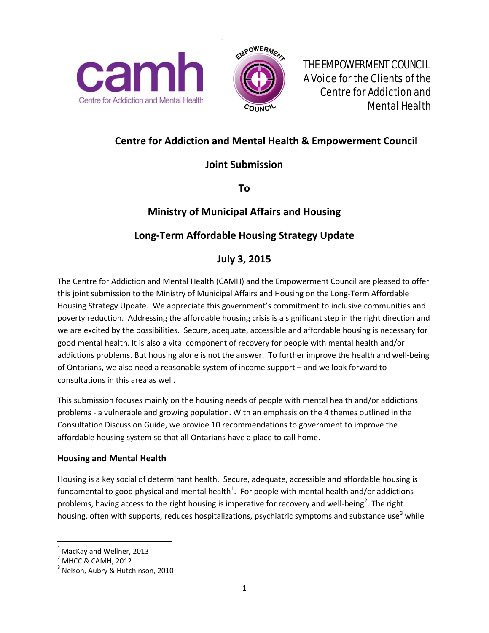



A Voice for the Clients of the Centre for Addiction and Mental Health

# **Centre for Addiction and Mental Health & Empowerment Council**

# **Joint Submission**

**To** 

# **Ministry of Municipal Affairs and Housing**

# **Long-Term Affordable Housing Strategy Update**

# **July 3, 2015**

The Centre for Addiction and Mental Health (CAMH) and the Empowerment Council are pleased to offer this joint submission to the Ministry of Municipal Affairs and Housing on the Long-Term Affordable Housing Strategy Update. We appreciate this government's commitment to inclusive communities and poverty reduction. Addressing the affordable housing crisis is a significant step in the right direction and we are excited by the possibilities. Secure, adequate, accessible and affordable housing is necessary for good mental health. It is also a vital component of recovery for people with mental health and/or addictions problems. But housing alone is not the answer. To further improve the health and well-being of Ontarians, we also need a reasonable system of income support – and we look forward to consultations in this area as well.

This submission focuses mainly on the housing needs of people with mental health and/or addictions problems - a vulnerable and growing population. With an emphasis on the 4 themes outlined in the Consultation Discussion Guide, we provide 10 recommendations to government to improve the affordable housing system so that all Ontarians have a place to call home.

### **Housing and Mental Health**

Housing is a key social of determinant health. Secure, adequate, accessible and affordable housing is fundamental to good physical and mental health<sup>[1](#page-0-0)</sup>. For people with mental health and/or addictions problems, having access to the right housing is imperative for recovery and well-being<sup>[2](#page-0-1)</sup>. The right housing, often with supports, reduces hospitalizations, psychiatric symptoms and substance use<sup>[3](#page-0-2)</sup> while

<span id="page-0-0"></span> $<sup>1</sup>$  MacKay and Wellner, 2013</sup>

<span id="page-0-1"></span><sup>2</sup> MHCC & CAMH, 2012

<span id="page-0-2"></span><sup>&</sup>lt;sup>3</sup> Nelson, Aubry & Hutchinson, 2010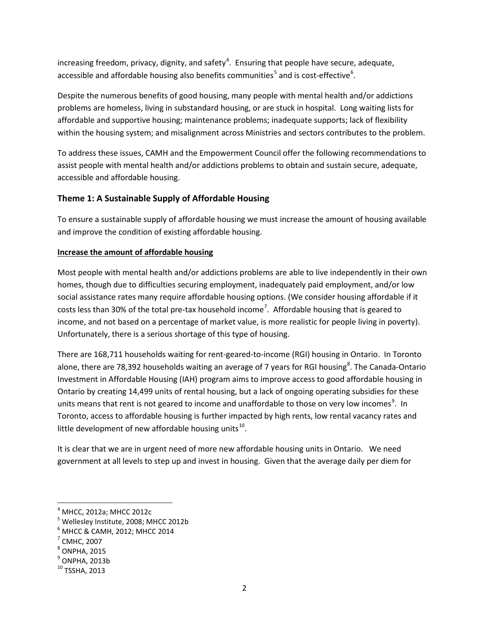increasing freedom, privacy, dignity, and safety<sup>[4](#page-1-0)</sup>. Ensuring that people have secure, adequate, accessible and affordable housing also benefits communities<sup>[5](#page-1-1)</sup> and is cost-effective<sup>[6](#page-1-2)</sup>.

Despite the numerous benefits of good housing, many people with mental health and/or addictions problems are homeless, living in substandard housing, or are stuck in hospital. Long waiting lists for affordable and supportive housing; maintenance problems; inadequate supports; lack of flexibility within the housing system; and misalignment across Ministries and sectors contributes to the problem.

To address these issues, CAMH and the Empowerment Council offer the following recommendations to assist people with mental health and/or addictions problems to obtain and sustain secure, adequate, accessible and affordable housing.

### **Theme 1: A Sustainable Supply of Affordable Housing**

To ensure a sustainable supply of affordable housing we must increase the amount of housing available and improve the condition of existing affordable housing.

#### **Increase the amount of affordable housing**

Most people with mental health and/or addictions problems are able to live independently in their own homes, though due to difficulties securing employment, inadequately paid employment, and/or low social assistance rates many require affordable housing options. (We consider housing affordable if it costs less than 30% of the total pre-tax household income<sup>[7](#page-1-3)</sup>. Affordable housing that is geared to income, and not based on a percentage of market value, is more realistic for people living in poverty). Unfortunately, there is a serious shortage of this type of housing.

There are 168,711 households waiting for rent-geared-to-income (RGI) housing in Ontario. In Toronto alone, there are 7[8](#page-1-4),392 households waiting an average of 7 years for RGI housing<sup>8</sup>. The Canada-Ontario Investment in Affordable Housing (IAH) program aims to improve access to good affordable housing in Ontario by creating 14,499 units of rental housing, but a lack of ongoing operating subsidies for these units means that rent is not geared to income and unaffordable to those on very low incomes<sup>[9](#page-1-5)</sup>. In Toronto, access to affordable housing is further impacted by high rents, low rental vacancy rates and little development of new affordable housing units $^{10}$  $^{10}$  $^{10}$ .

It is clear that we are in urgent need of more new affordable housing units in Ontario. We need government at all levels to step up and invest in housing. Given that the average daily per diem for

<span id="page-1-1"></span><span id="page-1-0"></span> $^4$  MHCC, 2012a; MHCC 2012c<br> $^5$  Wellesley Institute, 2008; MHCC 2012b

<span id="page-1-2"></span> $^6$  MHCC & CAMH, 2012; MHCC 2014<br><sup>7</sup> CMHC, 2007

<span id="page-1-3"></span>

<span id="page-1-4"></span> $<sup>8</sup>$  ONPHA, 2015</sup>

<span id="page-1-5"></span> $<sup>9</sup>$  ONPHA, 2013b</sup>

<span id="page-1-6"></span> $10$  TSSHA, 2013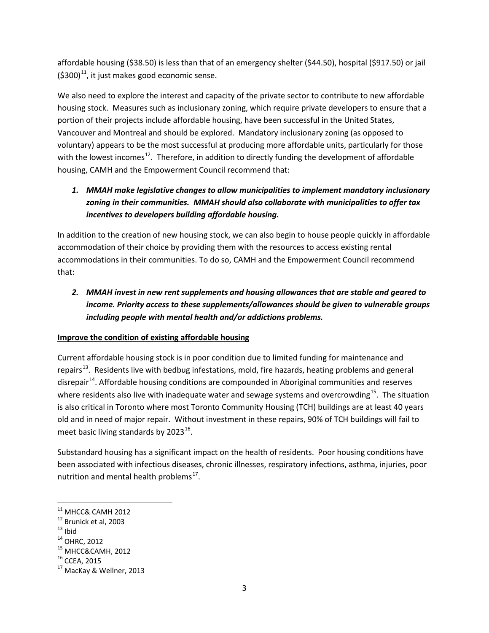affordable housing (\$38.50) is less than that of an emergency shelter (\$44.50), hospital (\$917.50) or jail  $(5300)^{11}$  $(5300)^{11}$  $(5300)^{11}$ , it just makes good economic sense.

We also need to explore the interest and capacity of the private sector to contribute to new affordable housing stock. Measures such as inclusionary zoning, which require private developers to ensure that a portion of their projects include affordable housing, have been successful in the United States, Vancouver and Montreal and should be explored. Mandatory inclusionary zoning (as opposed to voluntary) appears to be the most successful at producing more affordable units, particularly for those with the lowest incomes<sup>12</sup>. Therefore, in addition to directly funding the development of affordable housing, CAMH and the Empowerment Council recommend that:

## *1. MMAH make legislative changes to allow municipalities to implement mandatory inclusionary zoning in their communities. MMAH should also collaborate with municipalities to offer tax incentives to developers building affordable housing.*

In addition to the creation of new housing stock, we can also begin to house people quickly in affordable accommodation of their choice by providing them with the resources to access existing rental accommodations in their communities. To do so, CAMH and the Empowerment Council recommend that:

# *2. MMAH invest in new rent supplements and housing allowances that are stable and geared to income. Priority access to these supplements/allowances should be given to vulnerable groups including people with mental health and/or addictions problems.*

### **Improve the condition of existing affordable housing**

Current affordable housing stock is in poor condition due to limited funding for maintenance and repairs<sup>13</sup>. Residents live with bedbug infestations, mold, fire hazards, heating problems and general disrepair<sup>14</sup>. Affordable housing conditions are compounded in Aboriginal communities and reserves where residents also live with inadequate water and sewage systems and overcrowding<sup>[15](#page-2-4)</sup>. The situation is also critical in Toronto where most Toronto Community Housing (TCH) buildings are at least 40 years old and in need of major repair. Without investment in these repairs, 90% of TCH buildings will fail to meet basic living standards by  $2023^{16}$  $2023^{16}$  $2023^{16}$ .

Substandard housing has a significant impact on the health of residents. Poor housing conditions have been associated with infectious diseases, chronic illnesses, respiratory infections, asthma, injuries, poor nutrition and mental health problems $^{17}$  $^{17}$  $^{17}$ .

<span id="page-2-2"></span>

<span id="page-2-3"></span>

<span id="page-2-4"></span>

<span id="page-2-6"></span><span id="page-2-5"></span>

<span id="page-2-1"></span><span id="page-2-0"></span><sup>&</sup>lt;sup>11</sup> MHCC& CAMH 2012<br><sup>12</sup> Brunick et al, 2003<br><sup>13</sup> Ibid<br><sup>14</sup> OHRC, 2012<br><sup>15</sup> MHCC&CAMH, 2012<br><sup>16</sup> CCEA, 2015<br><sup>17</sup> MacKay & Wellner, 2013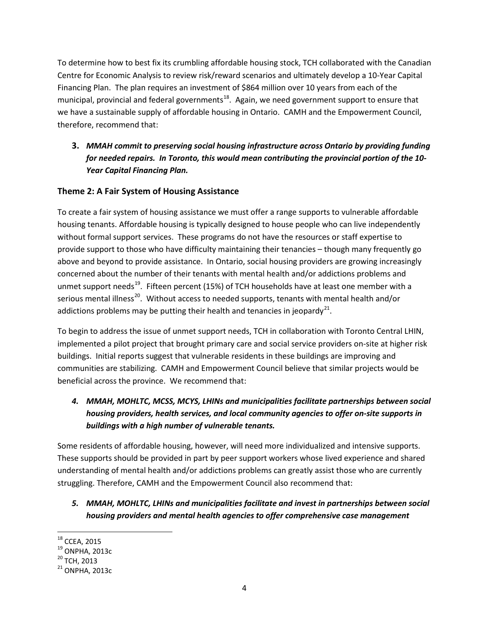To determine how to best fix its crumbling affordable housing stock, TCH collaborated with the Canadian Centre for Economic Analysis to review risk/reward scenarios and ultimately develop a 10-Year Capital Financing Plan. The plan requires an investment of \$864 million over 10 years from each of the municipal, provincial and federal governments<sup>[18](#page-3-0)</sup>. Again, we need government support to ensure that we have a sustainable supply of affordable housing in Ontario. CAMH and the Empowerment Council, therefore, recommend that:

## **3.** *MMAH commit to preserving social housing infrastructure across Ontario by providing funding for needed repairs. In Toronto, this would mean contributing the provincial portion of the 10- Year Capital Financing Plan.*

### **Theme 2: A Fair System of Housing Assistance**

To create a fair system of housing assistance we must offer a range supports to vulnerable affordable housing tenants. Affordable housing is typically designed to house people who can live independently without formal support services. These programs do not have the resources or staff expertise to provide support to those who have difficulty maintaining their tenancies – though many frequently go above and beyond to provide assistance. In Ontario, social housing providers are growing increasingly concerned about the number of their tenants with mental health and/or addictions problems and unmet support needs<sup>19</sup>. Fifteen percent (15%) of TCH households have at least one member with a serious mental illness<sup>[20](#page-3-2)</sup>. Without access to needed supports, tenants with mental health and/or addictions problems may be putting their health and tenancies in jeopardy<sup>21</sup>.

To begin to address the issue of unmet support needs, TCH in collaboration with Toronto Central LHIN, implemented a pilot project that brought primary care and social service providers on-site at higher risk buildings. Initial reports suggest that vulnerable residents in these buildings are improving and communities are stabilizing. CAMH and Empowerment Council believe that similar projects would be beneficial across the province. We recommend that:

# *4. MMAH, MOHLTC, MCSS, MCYS, LHINs and municipalities facilitate partnerships between social housing providers, health services, and local community agencies to offer on-site supports in buildings with a high number of vulnerable tenants.*

Some residents of affordable housing, however, will need more individualized and intensive supports. These supports should be provided in part by peer support workers whose lived experience and shared understanding of mental health and/or addictions problems can greatly assist those who are currently struggling. Therefore, CAMH and the Empowerment Council also recommend that:

## *5. MMAH, MOHLTC, LHINs and municipalities facilitate and invest in partnerships between social housing providers and mental health agencies to offer comprehensive case management*

<span id="page-3-3"></span><span id="page-3-2"></span>

<span id="page-3-1"></span><span id="page-3-0"></span> $^{18}$  CCEA, 2015<br> $^{19}$  ONPHA, 2013c<br> $^{20}$  TCH, 2013<br> $^{21}$  ONPHA, 2013c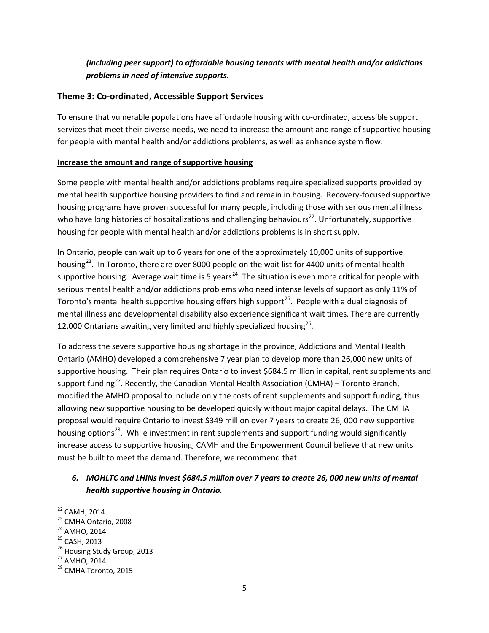### *(including peer support) to affordable housing tenants with mental health and/or addictions problems in need of intensive supports.*

#### **Theme 3: Co-ordinated, Accessible Support Services**

To ensure that vulnerable populations have affordable housing with co-ordinated, accessible support services that meet their diverse needs, we need to increase the amount and range of supportive housing for people with mental health and/or addictions problems, as well as enhance system flow.

#### **Increase the amount and range of supportive housing**

Some people with mental health and/or addictions problems require specialized supports provided by mental health supportive housing providers to find and remain in housing. Recovery-focused supportive housing programs have proven successful for many people, including those with serious mental illness who have long histories of hospitalizations and challenging behaviours<sup>22</sup>. Unfortunately, supportive housing for people with mental health and/or addictions problems is in short supply.

In Ontario, people can wait up to 6 years for one of the approximately 10,000 units of supportive housing<sup>23</sup>. In Toronto, there are over 8000 people on the wait list for 4400 units of mental health supportive housing. Average wait time is 5 years<sup>24</sup>. The situation is even more critical for people with serious mental health and/or addictions problems who need intense levels of support as only 11% of Toronto's mental health supportive housing offers high support<sup>25</sup>. People with a dual diagnosis of mental illness and developmental disability also experience significant wait times. There are currently 12,000 Ontarians awaiting very limited and highly specialized housing<sup>26</sup>.

To address the severe supportive housing shortage in the province, Addictions and Mental Health Ontario (AMHO) developed a comprehensive 7 year plan to develop more than 26,000 new units of supportive housing. Their plan requires Ontario to invest \$684.5 million in capital, rent supplements and support funding<sup>[27](#page-4-5)</sup>. Recently, the Canadian Mental Health Association (CMHA) – Toronto Branch, modified the AMHO proposal to include only the costs of rent supplements and support funding, thus allowing new supportive housing to be developed quickly without major capital delays. The CMHA proposal would require Ontario to invest \$349 million over 7 years to create 26, 000 new supportive housing options<sup>28</sup>. While investment in rent supplements and support funding would significantly increase access to supportive housing, CAMH and the Empowerment Council believe that new units must be built to meet the demand. Therefore, we recommend that:

## *6. MOHLTC and LHINs invest \$684.5 million over 7 years to create 26, 000 new units of mental health supportive housing in Ontario.*

<span id="page-4-2"></span>

<span id="page-4-4"></span><span id="page-4-3"></span>

<span id="page-4-1"></span><span id="page-4-0"></span><sup>&</sup>lt;sup>22</sup> CAMH, 2014<br>
<sup>23</sup> CMHA Ontario, 2008<br>
<sup>24</sup> AMHO, 2014<br>
<sup>25</sup> CASH, 2013<br>
<sup>26</sup> Housing Study Group, 2013<br>
<sup>27</sup> AMHO, 2014<br>
<sup>28</sup> CMHA Toronto, 2015

<span id="page-4-5"></span>

<span id="page-4-6"></span>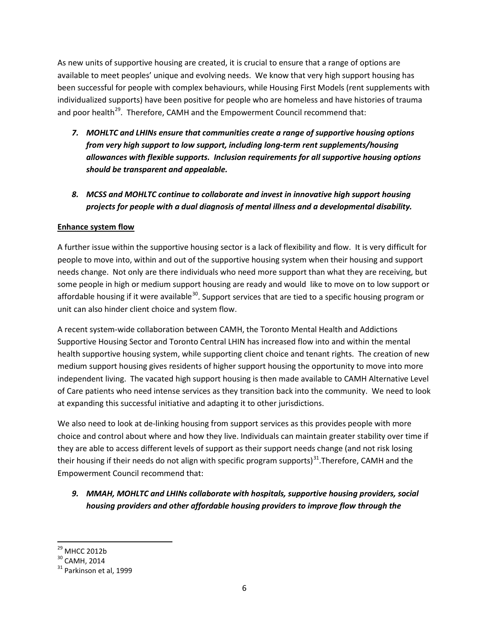As new units of supportive housing are created, it is crucial to ensure that a range of options are available to meet peoples' unique and evolving needs. We know that very high support housing has been successful for people with complex behaviours, while Housing First Models (rent supplements with individualized supports) have been positive for people who are homeless and have histories of trauma and poor health<sup>29</sup>. Therefore, CAMH and the Empowerment Council recommend that:

- *7. MOHLTC and LHINs ensure that communities create a range of supportive housing options from very high support to low support, including long-term rent supplements/housing allowances with flexible supports. Inclusion requirements for all supportive housing options should be transparent and appealable.*
- *8. MCSS and MOHLTC continue to collaborate and invest in innovative high support housing projects for people with a dual diagnosis of mental illness and a developmental disability.*

#### **Enhance system flow**

A further issue within the supportive housing sector is a lack of flexibility and flow. It is very difficult for people to move into, within and out of the supportive housing system when their housing and support needs change. Not only are there individuals who need more support than what they are receiving, but some people in high or medium support housing are ready and would like to move on to low support or affordable housing if it were available<sup>30</sup>. Support services that are tied to a specific housing program or unit can also hinder client choice and system flow.

A recent system-wide collaboration between CAMH, the Toronto Mental Health and Addictions Supportive Housing Sector and Toronto Central LHIN has increased flow into and within the mental health supportive housing system, while supporting client choice and tenant rights. The creation of new medium support housing gives residents of higher support housing the opportunity to move into more independent living. The vacated high support housing is then made available to CAMH Alternative Level of Care patients who need intense services as they transition back into the community. We need to look at expanding this successful initiative and adapting it to other jurisdictions.

We also need to look at de-linking housing from support services as this provides people with more choice and control about where and how they live. Individuals can maintain greater stability over time if they are able to access different levels of support as their support needs change (and not risk losing their housing if their needs do not align with specific program supports)<sup>31</sup>. Therefore, CAMH and the Empowerment Council recommend that:

## *9. MMAH, MOHLTC and LHINs collaborate with hospitals, supportive housing providers, social housing providers and other affordable housing providers to improve flow through the*

<span id="page-5-2"></span><span id="page-5-1"></span>

<span id="page-5-0"></span><sup>&</sup>lt;sup>29</sup> MHCC 2012b<br><sup>30</sup> CAMH, 2014<br><sup>31</sup> Parkinson et al, 1999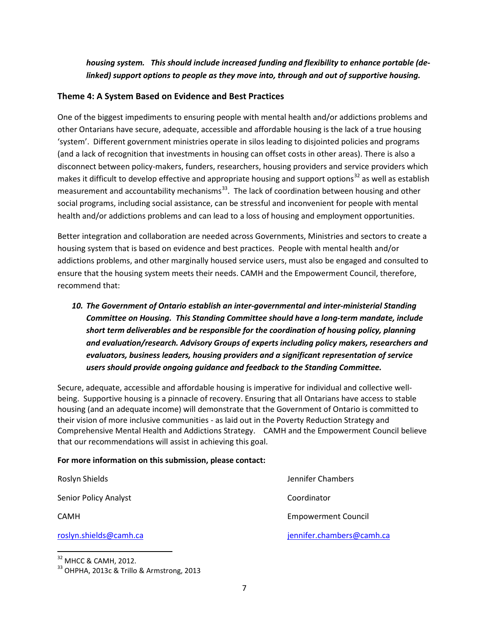*housing system. This should include increased funding and flexibility to enhance portable (delinked) support options to people as they move into, through and out of supportive housing.* 

#### **Theme 4: A System Based on Evidence and Best Practices**

One of the biggest impediments to ensuring people with mental health and/or addictions problems and other Ontarians have secure, adequate, accessible and affordable housing is the lack of a true housing 'system'. Different government ministries operate in silos leading to disjointed policies and programs (and a lack of recognition that investments in housing can offset costs in other areas). There is also a disconnect between policy-makers, funders, researchers, housing providers and service providers which makes it difficult to develop effective and appropriate housing and support options<sup>[32](#page-6-0)</sup> as well as establish measurement and accountability mechanisms $^{33}$  $^{33}$  $^{33}$ . The lack of coordination between housing and other social programs, including social assistance, can be stressful and inconvenient for people with mental health and/or addictions problems and can lead to a loss of housing and employment opportunities.

Better integration and collaboration are needed across Governments, Ministries and sectors to create a housing system that is based on evidence and best practices. People with mental health and/or addictions problems, and other marginally housed service users, must also be engaged and consulted to ensure that the housing system meets their needs. CAMH and the Empowerment Council, therefore, recommend that:

*10. The Government of Ontario establish an inter-governmental and inter-ministerial Standing Committee on Housing. This Standing Committee should have a long-term mandate, include short term deliverables and be responsible for the coordination of housing policy, planning and evaluation/research. Advisory Groups of experts including policy makers, researchers and evaluators, business leaders, housing providers and a significant representation of service users should provide ongoing guidance and feedback to the Standing Committee.* 

Secure, adequate, accessible and affordable housing is imperative for individual and collective wellbeing. Supportive housing is a pinnacle of recovery. Ensuring that all Ontarians have access to stable housing (and an adequate income) will demonstrate that the Government of Ontario is committed to their vision of more inclusive communities - as laid out in the Poverty Reduction Strategy and Comprehensive Mental Health and Addictions Strategy. CAMH and the Empowerment Council believe that our recommendations will assist in achieving this goal.

#### **For more information on this submission, please contact:**

| Roslyn Shields         |
|------------------------|
| Senior Policy Analyst  |
| <b>CAMH</b>            |
| roclus chiolde@camb.co |

Jennifer Chambers Coordinator **Empowerment Council** [roslyn.shields@camh.ca](mailto:roslyn.shields@camh.ca) [jennifer.chambers@camh.ca](mailto:jennifer.chambers@camh.ca)

<span id="page-6-1"></span><span id="page-6-0"></span> $32$  MHCC & CAMH, 2012.<br> $33$  OHPHA, 2013c & Trillo & Armstrong, 2013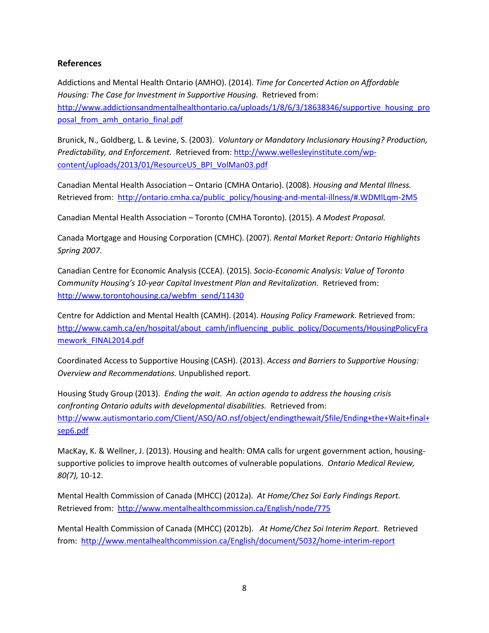#### **References**

Addictions and Mental Health Ontario (AMHO). (2014). *Time for Concerted Action on Affordable Housing: The Case for Investment in Supportive Housing.* Retrieved from: [http://www.addictionsandmentalhealthontario.ca/uploads/1/8/6/3/18638346/supportive\\_housing\\_pro](http://www.addictionsandmentalhealthontario.ca/uploads/1/8/6/3/18638346/supportive_housing_proposal_from_amh_ontario_final.pdf) [posal\\_from\\_amh\\_ontario\\_final.pdf](http://www.addictionsandmentalhealthontario.ca/uploads/1/8/6/3/18638346/supportive_housing_proposal_from_amh_ontario_final.pdf)

Brunick, N., Goldberg, L. & Levine, S. (2003). *Voluntary or Mandatory Inclusionary Housing? Production, Predictability, and Enforcement.* Retrieved from: [http://www.wellesleyinstitute.com/wp](http://www.wellesleyinstitute.com/wp-content/uploads/2013/01/ResourceUS_BPI_VolMan03.pdf)[content/uploads/2013/01/ResourceUS\\_BPI\\_VolMan03.pdf](http://www.wellesleyinstitute.com/wp-content/uploads/2013/01/ResourceUS_BPI_VolMan03.pdf)

Canadian Mental Health Association – Ontario (CMHA Ontario). (2008). *Housing and Mental Illness.*  Retrieved from: [http://ontario.cmha.ca/public\\_policy/housing-and-mental-illness/#.WDMlLqm-2M5](http://ontario.cmha.ca/public_policy/housing-and-mental-illness/#.WDMlLqm-2M5)

Canadian Mental Health Association – Toronto (CMHA Toronto). (2015). *A Modest Proposal.*

Canada Mortgage and Housing Corporation (CMHC). (2007). *Rental Market Report: Ontario Highlights Spring 2007.* 

Canadian Centre for Economic Analysis (CCEA). (2015). *Socio-Economic Analysis: Value of Toronto Community Housing's 10-year Capital Investment Plan and Revitalization.* Retrieved from: [http://www.torontohousing.ca/webfm\\_send/11430](http://www.torontohousing.ca/webfm_send/11430)

Centre for Addiction and Mental Health (CAMH). (2014). *Housing Policy Framework.* Retrieved from: [http://www.camh.ca/en/hospital/about\\_camh/influencing\\_public\\_policy/Documents/HousingPolicyFra](http://www.camh.ca/en/hospital/about_camh/influencing_public_policy/Documents/HousingPolicyFramework_FINAL2014.pdf) [mework\\_FINAL2014.pdf](http://www.camh.ca/en/hospital/about_camh/influencing_public_policy/Documents/HousingPolicyFramework_FINAL2014.pdf)

Coordinated Access to Supportive Housing (CASH). (2013). *Access and Barriers to Supportive Housing: Overview and Recommendations.* Unpublished report.

Housing Study Group (2013). *Ending the wait. An action agenda to address the housing crisis confronting Ontario adults with developmental disabilities.* Retrieved from: [http://www.autismontario.com/Client/ASO/AO.nsf/object/endingthewait/\\$file/Ending+the+Wait+final+](http://www.autismontario.com/Client/ASO/AO.nsf/object/endingthewait/$file/Ending+the+Wait+final+sep6.pdf) [sep6.pdf](http://www.autismontario.com/Client/ASO/AO.nsf/object/endingthewait/$file/Ending+the+Wait+final+sep6.pdf)

MacKay, K. & Wellner, J. (2013). Housing and health: OMA calls for urgent government action, housingsupportive policies to improve health outcomes of vulnerable populations. *Ontario Medical Review, 80(7),* 10-12.

Mental Health Commission of Canada (MHCC) (2012a). *At Home/Chez Soi Early Findings Report.*  Retrieved from: <http://www.mentalhealthcommission.ca/English/node/775>

Mental Health Commission of Canada (MHCC) (2012b). *At Home/Chez Soi Interim Report.* Retrieved from:<http://www.mentalhealthcommission.ca/English/document/5032/home-interim-report>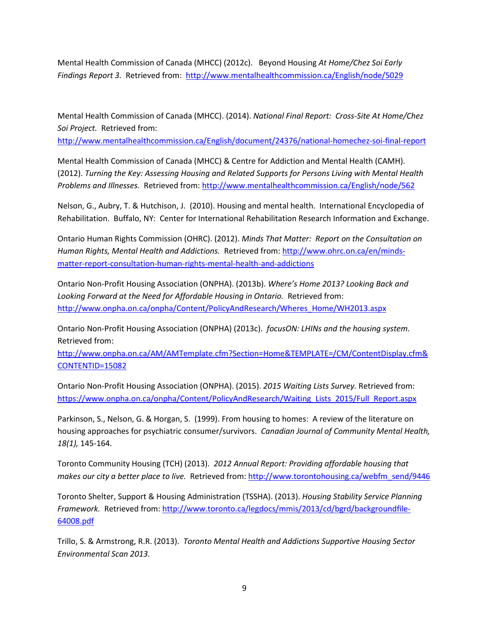Mental Health Commission of Canada (MHCC) (2012c). Beyond Housing *At Home/Chez Soi Early Findings Report 3.* Retrieved from:<http://www.mentalhealthcommission.ca/English/node/5029>

Mental Health Commission of Canada (MHCC). (2014). *National Final Report: Cross-Site At Home/Chez Soi Project.* Retrieved from:

<http://www.mentalhealthcommission.ca/English/document/24376/national-homechez-soi-final-report>

Mental Health Commission of Canada (MHCC) & Centre for Addiction and Mental Health (CAMH). (2012). *Turning the Key: Assessing Housing and Related Supports for Persons Living with Mental Health Problems and Illnesses.* Retrieved from:<http://www.mentalhealthcommission.ca/English/node/562>

Nelson, G., Aubry, T. & Hutchison, J. (2010). Housing and mental health. International Encyclopedia of Rehabilitation. Buffalo, NY: Center for International Rehabilitation Research Information and Exchange.

Ontario Human Rights Commission (OHRC). (2012). *Minds That Matter: Report on the Consultation on Human Rights, Mental Health and Addictions.* Retrieved from[: http://www.ohrc.on.ca/en/minds](http://www.ohrc.on.ca/en/minds-matter-report-consultation-human-rights-mental-health-and-addictions)[matter-report-consultation-human-rights-mental-health-and-addictions](http://www.ohrc.on.ca/en/minds-matter-report-consultation-human-rights-mental-health-and-addictions)

Ontario Non-Profit Housing Association (ONPHA). (2013b). *Where's Home 2013? Looking Back and*  Looking Forward at the Need for Affordable Housing in Ontario. Retrieved from: [http://www.onpha.on.ca/onpha/Content/PolicyAndResearch/Wheres\\_Home/WH2013.aspx](http://www.onpha.on.ca/onpha/Content/PolicyAndResearch/Wheres_Home/WH2013.aspx)

Ontario Non-Profit Housing Association (ONPHA) (2013c). *focusON: LHINs and the housing system.*  Retrieved from:

[http://www.onpha.on.ca/AM/AMTemplate.cfm?Section=Home&TEMPLATE=/CM/ContentDisplay.cfm&](http://www.onpha.on.ca/AM/AMTemplate.cfm?Section=Home&TEMPLATE=/CM/ContentDisplay.cfm&CONTENTID=15082) [CONTENTID=15082](http://www.onpha.on.ca/AM/AMTemplate.cfm?Section=Home&TEMPLATE=/CM/ContentDisplay.cfm&CONTENTID=15082)

Ontario Non-Profit Housing Association (ONPHA). (2015). *2015 Waiting Lists Survey.* Retrieved from: https://www.onpha.on.ca/onpha/Content/PolicyAndResearch/Waiting Lists 2015/Full Report.aspx

Parkinson, S., Nelson, G. & Horgan, S. (1999). From housing to homes: A review of the literature on housing approaches for psychiatric consumer/survivors. *Canadian Journal of Community Mental Health, 18(1),* 145-164.

Toronto Community Housing (TCH) (2013). *2012 Annual Report: Providing affordable housing that makes our city a better place to live.* Retrieved from: [http://www.torontohousing.ca/webfm\\_send/9446](http://www.torontohousing.ca/webfm_send/9446)

Toronto Shelter, Support & Housing Administration (TSSHA). (2013). *Housing Stability Service Planning Framework.* Retrieved from: [http://www.toronto.ca/legdocs/mmis/2013/cd/bgrd/backgroundfile-](http://www.toronto.ca/legdocs/mmis/2013/cd/bgrd/backgroundfile-64008.pdf)[64008.pdf](http://www.toronto.ca/legdocs/mmis/2013/cd/bgrd/backgroundfile-64008.pdf)

Trillo, S. & Armstrong, R.R. (2013). *Toronto Mental Health and Addictions Supportive Housing Sector Environmental Scan 2013.*